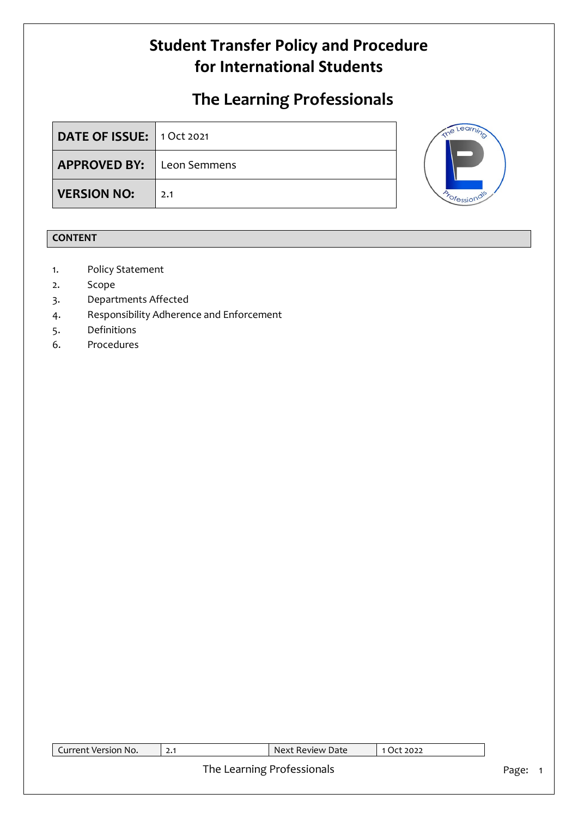# **The Learning Professionals**

| DATE OF ISSUE: 1 Oct 2021        |     |
|----------------------------------|-----|
| <b>APPROVED BY:</b> Leon Semmens |     |
| <b>VERSION NO:</b>               | 2.1 |



### **CONTENT**

- 1. Policy Statement
- 2. Scope
- 3. Departments Affected
- 4. Responsibility Adherence and Enforcement
- 5. Definitions
- 6. Procedures

| Current Version No. | 2.1 | Next Review Date           | 1 Oct 2022 |         |
|---------------------|-----|----------------------------|------------|---------|
|                     |     | The Learning Professionals |            | Page: 1 |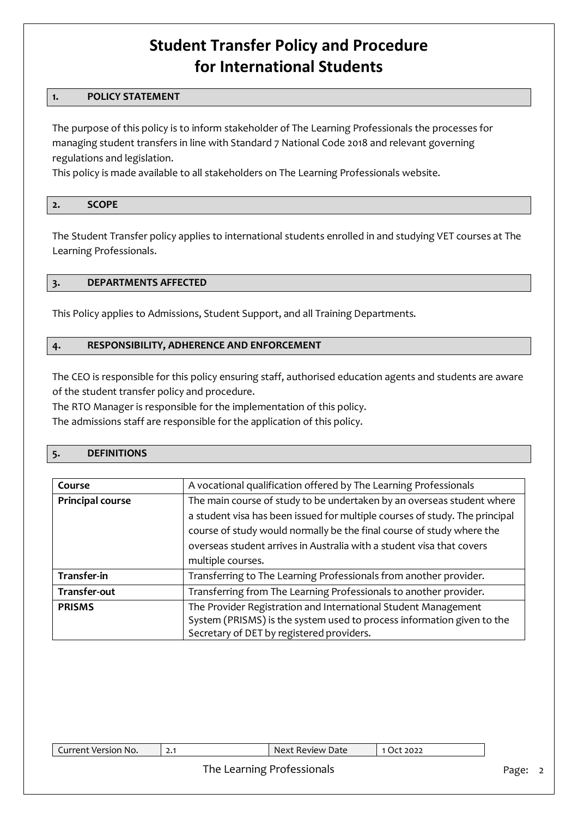#### **1. POLICY STATEMENT**

The purpose of this policy is to inform stakeholder of The Learning Professionals the processes for managing student transfers in line with Standard 7 National Code 2018 and relevant governing regulations and legislation.

This policy is made available to all stakeholders on The Learning Professionals website.

### **2. SCOPE**

The Student Transfer policy applies to international students enrolled in and studying VET courses at The Learning Professionals.

#### **3. DEPARTMENTS AFFECTED**

This Policy applies to Admissions, Student Support, and all Training Departments.

#### **4. RESPONSIBILITY, ADHERENCE AND ENFORCEMENT**

The CEO is responsible for this policy ensuring staff, authorised education agents and students are aware of the student transfer policy and procedure.

The RTO Manager is responsible for the implementation of this policy.

The admissions staff are responsible for the application of this policy.

#### **5. DEFINITIONS**

| Course                  | A vocational qualification offered by The Learning Professionals            |
|-------------------------|-----------------------------------------------------------------------------|
| <b>Principal course</b> | The main course of study to be undertaken by an overseas student where      |
|                         | a student visa has been issued for multiple courses of study. The principal |
|                         | course of study would normally be the final course of study where the       |
|                         | overseas student arrives in Australia with a student visa that covers       |
|                         | multiple courses.                                                           |
| Transfer-in             | Transferring to The Learning Professionals from another provider.           |
| Transfer-out            | Transferring from The Learning Professionals to another provider.           |
| <b>PRISMS</b>           | The Provider Registration and International Student Management              |
|                         | System (PRISMS) is the system used to process information given to the      |
|                         | Secretary of DET by registered providers.                                   |

#### The Learning Professionals and a state of the Page: 2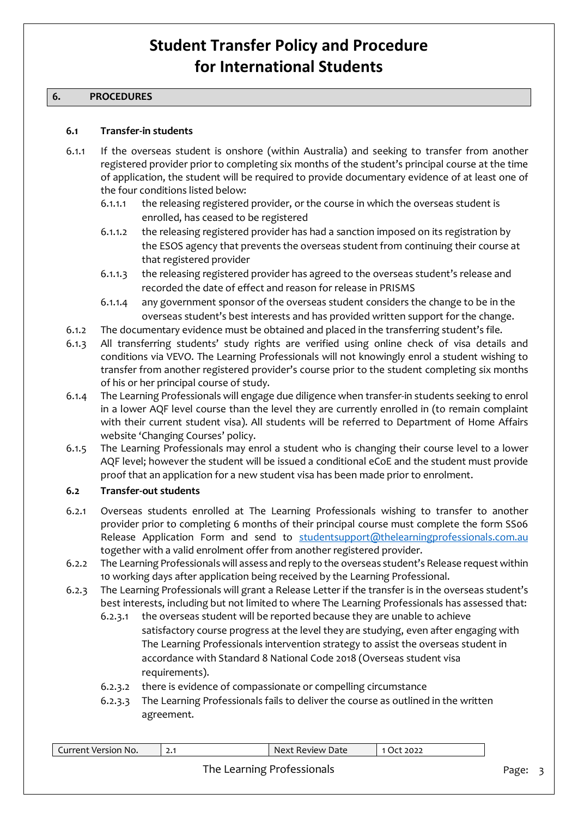#### **6. PROCEDURES**

#### **6.1 Transfer-in students**

- 6.1.1 If the overseas student is onshore (within Australia) and seeking to transfer from another registered provider prior to completing six months of the student's principal course at the time of application, the student will be required to provide documentary evidence of at least one of the four conditions listed below:
	- 6.1.1.1 the releasing registered provider, or the course in which the overseas student is enrolled, has ceased to be registered
	- 6.1.1.2 the releasing registered provider has had a sanction imposed on its registration by the ESOS agency that prevents the overseas student from continuing their course at that registered provider
	- 6.1.1.3 the releasing registered provider has agreed to the overseas student's release and recorded the date of effect and reason for release in PRISMS
	- 6.1.1.4 any government sponsor of the overseas student considers the change to be in the overseas student's best interests and has provided written support for the change.
- 6.1.2 The documentary evidence must be obtained and placed in the transferring student's file.
- 6.1.3 All transferring students' study rights are verified using online check of visa details and conditions via VEVO. The Learning Professionals will not knowingly enrol a student wishing to transfer from another registered provider's course prior to the student completing six months of his or her principal course of study.
- 6.1.4 The Learning Professionals will engage due diligence when transfer-in students seeking to enrol in a lower AQF level course than the level they are currently enrolled in (to remain complaint with their current student visa). All students will be referred to Department of Home Affairs website 'Changing Courses' policy.
- 6.1.5 The Learning Professionals may enrol a student who is changing their course level to a lower AQF level; however the student will be issued a conditional eCoE and the student must provide proof that an application for a new student visa has been made prior to enrolment.

#### **6.2 Transfer-out students**

- 6.2.1 Overseas students enrolled at The Learning Professionals wishing to transfer to another provider prior to completing 6 months of their principal course must complete the form SS06 Release Application Form and send to [studentsupport@thelearningprofessionals.com.au](mailto:studentsupport@thelearningprofessionals.com.au) together with a valid enrolment offer from another registered provider.
- 6.2.2 The Learning Professionals will assess and reply to the overseas student's Release request within 10 working days after application being received by the Learning Professional.
- 6.2.3 The Learning Professionals will grant a Release Letter if the transfer is in the overseas student's best interests, including but not limited to where The Learning Professionals has assessed that:
	- 6.2.3.1 the overseas student will be reported because they are unable to achieve satisfactory course progress at the level they are studying, even after engaging with The Learning Professionals intervention strategy to assist the overseas student in accordance with Standard 8 National Code 2018 (Overseas student visa requirements).
	- 6.2.3.2 there is evidence of compassionate or compelling circumstance
	- 6.2.3.3 The Learning Professionals fails to deliver the course as outlined in the written agreement.

| Current Version No. | 2.1 | Next Review Date           | 1 Oct 2022 |       |  |
|---------------------|-----|----------------------------|------------|-------|--|
|                     |     | The Learning Professionals |            | Page: |  |